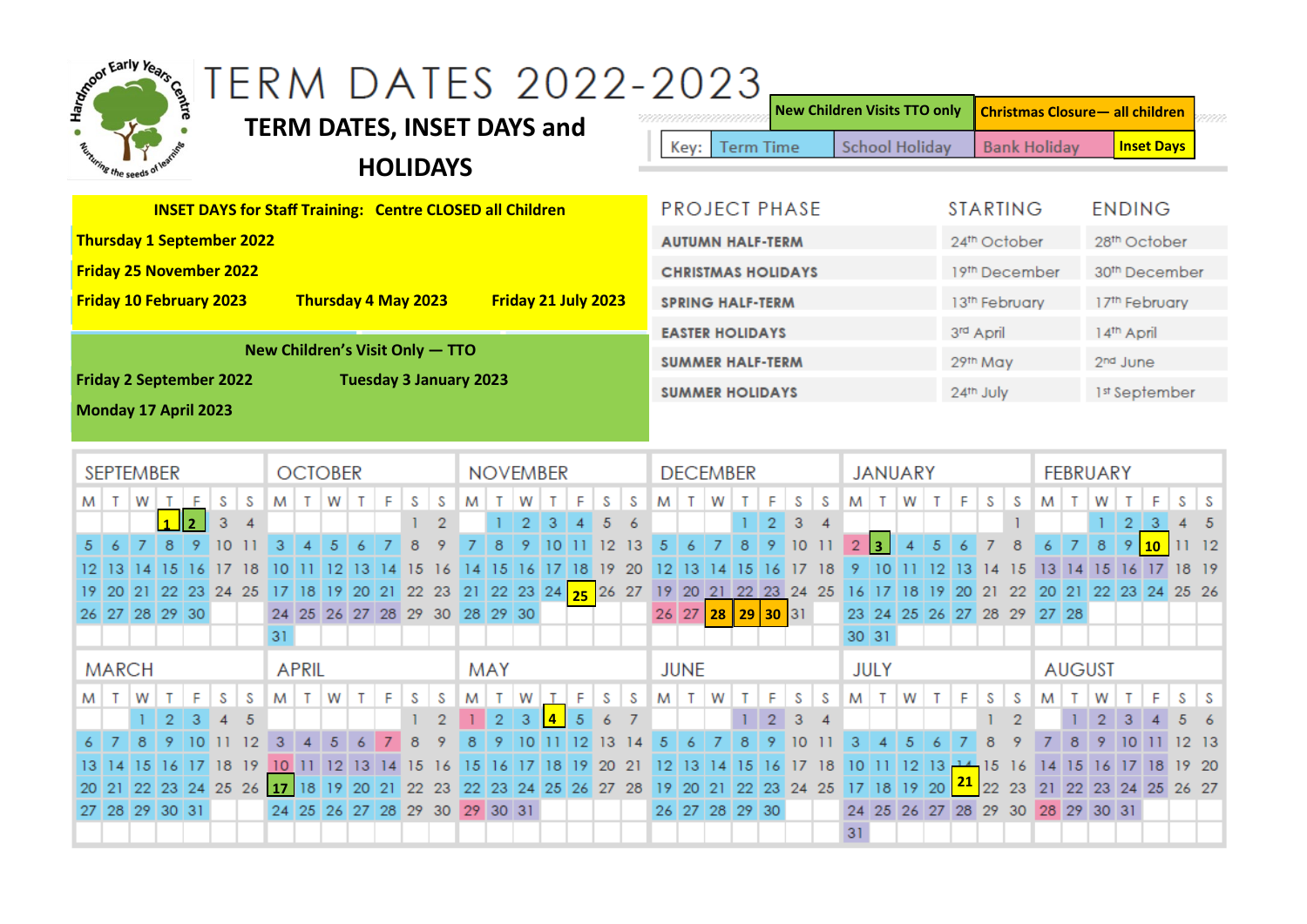| Mapon Early Years Co.                                            | <b>TERM DATES, INSET DAYS and</b>                  | TERM DATES 2022-2023                                  | <b>Term Time</b><br>Key:                       | <b>New Children Visits TTO only</b><br><b>School Holiday</b> | <b>Christmas Closure - all children</b><br><b>Bank Holiday</b> | <b>Inset Days</b>                                 |
|------------------------------------------------------------------|----------------------------------------------------|-------------------------------------------------------|------------------------------------------------|--------------------------------------------------------------|----------------------------------------------------------------|---------------------------------------------------|
| ting the seeds of                                                | <b>HOLIDAYS</b>                                    |                                                       |                                                |                                                              |                                                                |                                                   |
| <b>INSET DAYS for Staff Training: Centre CLOSED all Children</b> |                                                    |                                                       | <b>PROJECT PHASE</b>                           |                                                              | <b>STARTING</b>                                                | <b>ENDING</b>                                     |
| <b>Thursday 1 September 2022</b>                                 |                                                    |                                                       | <b>AUTUMN HALF-TERM</b>                        |                                                              | 24th October                                                   | 28 <sup>th</sup> October                          |
| <b>Friday 25 November 2022</b>                                   |                                                    | <b>CHRISTMAS HOLIDAYS</b>                             |                                                | 19th December                                                | 30 <sup>th</sup> December                                      |                                                   |
| <b>Friday 10 February 2023</b>                                   | Thursday 4 May 2023                                | Friday 21 July 2023                                   | <b>SPRING HALF-TERM</b>                        |                                                              | 13th February                                                  | 17th February                                     |
|                                                                  |                                                    | <b>EASTER HOLIDAYS</b>                                |                                                | 3rd April                                                    | 14th April                                                     |                                                   |
| New Children's Visit Only - TTO<br><b>SUMMER HALF-TERM</b>       |                                                    |                                                       |                                                |                                                              | 29th May                                                       | 2 <sup>nd</sup> June                              |
| <b>Friday 2 September 2022</b>                                   | <b>Tuesday 3 January 2023</b>                      |                                                       | <b>SUMMER HOLIDAYS</b>                         |                                                              | 24th July                                                      | 1st September                                     |
| Monday 17 April 2023                                             |                                                    |                                                       |                                                |                                                              |                                                                |                                                   |
| <b>SEPTEMBER</b>                                                 | <b>OCTOBER</b>                                     | <b>NOVEMBER</b>                                       | <b>DECEMBER</b>                                | <b>JANUARY</b>                                               |                                                                | <b>FEBRUARY</b>                                   |
| S<br>W<br>F<br>S<br>м<br>т                                       | W<br>F<br>S<br>S<br>M<br>$\top$<br>т               | S<br>M<br>W<br>S<br>Е                                 | S<br>W<br>F<br>S<br>M<br>$\mathsf{T}$          | M<br>$\mathsf{T}$<br>W<br>F<br>Т                             | S<br>S<br>M<br>Τ                                               | W<br>-S                                           |
| 3<br>$\boldsymbol{\Lambda}$                                      |                                                    | 5<br>12 <sup>°</sup><br>13<br>0                       | 3<br>$\overline{4}$<br>2<br>5<br>$\circ$<br>10 | $\overline{2}$<br>l 3.<br>5                                  | $\vert$ 7<br>6<br>8                                            | 3<br>$\overline{2}$<br>-5<br>8<br>9<br>1112<br>10 |
| <sup>15</sup><br>-16<br>17<br>13.<br>-18                         | 13<br>15                                           | 15<br>19<br>-16<br>18<br>20<br>14.                    | 15<br>18<br>16                                 | 12 <sup>°</sup><br>10<br> 13                                 | 15<br>$\overline{14}$                                          | 13 14 15 16 17<br>18 19                           |
| 19                                                               | 20 21 22 23 24 25 17 18 19 20 21 22 23 21 22 23 24 | 25 26 27                                              | 19 20 21 22 23 24 25                           | 16 17 18<br><sup>19</sup><br><b>20</b>                       | 22<br>21                                                       | 20 21 22 23 24 25 26                              |
| 26 27 28 29 30                                                   | 24 25 26 27 28 29 30 28 29 30                      |                                                       | 28 <sup>1</sup><br>30 31<br>26 27<br>29        | 23 24 25 26 27 28                                            | 29 27 28                                                       |                                                   |
|                                                                  | 31                                                 |                                                       |                                                | 30 31                                                        |                                                                |                                                   |
| <b>MARCH</b>                                                     | <b>APRIL</b>                                       | <b>MAY</b>                                            | <b>JUNE</b>                                    | <b>JULY</b>                                                  | <b>AUGUST</b>                                                  |                                                   |
| F<br>s<br>S<br>W<br>т<br>M<br>т                                  | F<br>S<br>S<br>W<br>T.<br>T.<br>M I                | W<br>F<br>M<br>$\mathsf{T}$<br>S<br>$\mathsf{T}$<br>S | F<br>S<br>W<br>S<br>м<br>т<br>Т                | W<br>F<br>$M$ T<br>$\top$                                    | S<br>S<br>M<br>т                                               | W<br>F<br>S<br>-S                                 |
| 2<br>3<br>5<br>9<br>10                                           | 8<br>з                                             | $\overline{2}$<br>$\overline{a}$<br>13                | з<br>8<br>5<br>6                               |                                                              | 8<br>8<br>9                                                    | $\overline{2}$<br>9<br>12 13                      |
| -19                                                              | 10 <sup>°</sup><br>12<br>15<br>16                  | 18<br>20<br>$^{21}$<br>15<br>-19<br>16                | 18                                             | 12 <sup>°</sup><br>-13                                       | 15<br>-16<br>15<br> 4                                          | 19 20<br>-16                                      |
| 23 24 25 26                                                      | 18<br>$ 17\rangle$<br>20<br>-21<br>-22<br>-23      | 23 24 25 26 27 28<br>22                               | 19 <br><b>20</b><br>21<br>22<br>23 24 25       | <u>21</u><br><sup>19</sup><br>20<br>18<br>$\overline{17}$    | 22<br>23                                                       | 21 22 23 24 25 26 27                              |
| 27 28 29 30 31                                                   | 24 25 26 27 28 29 30 29 30 31                      |                                                       | 26 27 28 29 30                                 | 24 25 26 27 28 29 30 28 29 30 31                             |                                                                |                                                   |
|                                                                  |                                                    |                                                       |                                                | 31                                                           |                                                                |                                                   |